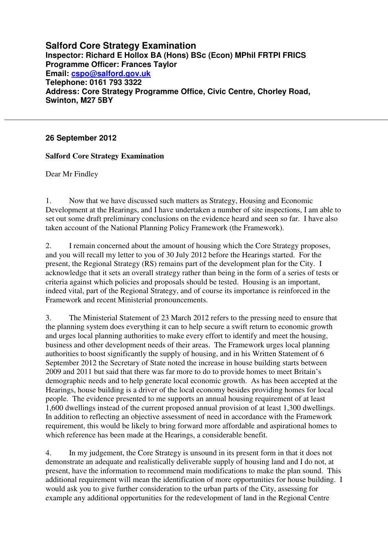**Salford Core Strategy Examination Inspector: Richard E Hollox BA (Hons) BSc (Econ) MPhil FRTPI FRICS Programme Officer: Frances Taylor Email: cspo@salford.gov.uk Telephone: 0161 793 3322 Address: Core Strategy Programme Office, Civic Centre, Chorley Road, Swinton, M27 5BY** 

## **26 September 2012**

## **Salford Core Strategy Examination**

Dear Mr Findley

1. Now that we have discussed such matters as Strategy, Housing and Economic Development at the Hearings, and I have undertaken a number of site inspections, I am able to set out some draft preliminary conclusions on the evidence heard and seen so far. I have also taken account of the National Planning Policy Framework (the Framework).

2. I remain concerned about the amount of housing which the Core Strategy proposes, and you will recall my letter to you of 30 July 2012 before the Hearings started. For the present, the Regional Strategy (RS) remains part of the development plan for the City. I acknowledge that it sets an overall strategy rather than being in the form of a series of tests or criteria against which policies and proposals should be tested. Housing is an important, indeed vital, part of the Regional Strategy, and of course its importance is reinforced in the Framework and recent Ministerial pronouncements.

3. The Ministerial Statement of 23 March 2012 refers to the pressing need to ensure that the planning system does everything it can to help secure a swift return to economic growth and urges local planning authorities to make every effort to identify and meet the housing, business and other development needs of their areas. The Framework urges local planning authorities to boost significantly the supply of housing, and in his Written Statement of 6 September 2012 the Secretary of State noted the increase in house building starts between 2009 and 2011 but said that there was far more to do to provide homes to meet Britain's demographic needs and to help generate local economic growth. As has been accepted at the Hearings, house building is a driver of the local economy besides providing homes for local people. The evidence presented to me supports an annual housing requirement of at least 1,600 dwellings instead of the current proposed annual provision of at least 1,300 dwellings. In addition to reflecting an objective assessment of need in accordance with the Framework requirement, this would be likely to bring forward more affordable and aspirational homes to which reference has been made at the Hearings, a considerable benefit.

4. In my judgement, the Core Strategy is unsound in its present form in that it does not demonstrate an adequate and realistically deliverable supply of housing land and I do not, at present, have the information to recommend main modifications to make the plan sound. This additional requirement will mean the identification of more opportunities for house building. I would ask you to give further consideration to the urban parts of the City, assessing for example any additional opportunities for the redevelopment of land in the Regional Centre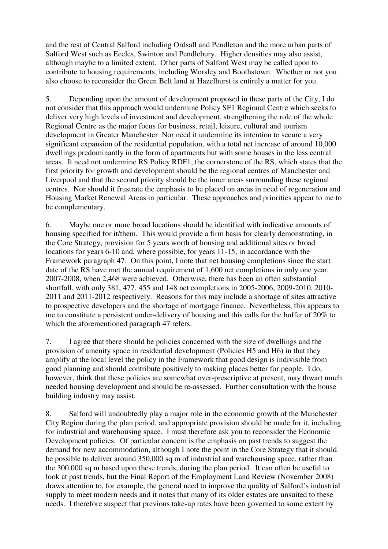and the rest of Central Salford including Ordsall and Pendleton and the more urban parts of Salford West such as Eccles, Swinton and Pendlebury. Higher densities may also assist, although maybe to a limited extent. Other parts of Salford West may be called upon to contribute to housing requirements, including Worsley and Boothstown. Whether or not you also choose to reconsider the Green Belt land at Hazelhurst is entirely a matter for you.

5. Depending upon the amount of development proposed in these parts of the City, I do not consider that this approach would undermine Policy SF1 Regional Centre which seeks to deliver very high levels of investment and development, strengthening the role of the whole Regional Centre as the major focus for business, retail, leisure, cultural and tourism development in Greater Manchester Nor need it undermine its intention to secure a very significant expansion of the residential population, with a total net increase of around 10,000 dwellings predominantly in the form of apartments but with some houses in the less central areas. It need not undermine RS Policy RDF1, the cornerstone of the RS, which states that the first priority for growth and development should be the regional centres of Manchester and Liverpool and that the second priority should be the inner areas surrounding these regional centres. Nor should it frustrate the emphasis to be placed on areas in need of regeneration and Housing Market Renewal Areas in particular. These approaches and priorities appear to me to be complementary.

6. Maybe one or more broad locations should be identified with indicative amounts of housing specified for it/them. This would provide a firm basis for clearly demonstrating, in the Core Strategy, provision for 5 years worth of housing and additional sites or broad locations for years 6-10 and, where possible, for years 11-15, in accordance with the Framework paragraph 47. On this point, I note that net housing completions since the start date of the RS have met the annual requirement of 1,600 net completions in only one year, 2007-2008, when 2,468 were achieved. Otherwise, there has been an often substantial shortfall, with only 381, 477, 455 and 148 net completions in 2005-2006, 2009-2010, 2010- 2011 and 2011-2012 respectively. Reasons for this may include a shortage of sites attractive to prospective developers and the shortage of mortgage finance. Nevertheless, this appears to me to constitute a persistent under-delivery of housing and this calls for the buffer of 20% to which the aforementioned paragraph 47 refers.

7. I agree that there should be policies concerned with the size of dwellings and the provision of amenity space in residential development (Policies H5 and H6) in that they amplify at the local level the policy in the Framework that good design is indivisible from good planning and should contribute positively to making places better for people. I do, however, think that these policies are somewhat over-prescriptive at present, may thwart much needed housing development and should be re-assessed. Further consultation with the house building industry may assist.

8. Salford will undoubtedly play a major role in the economic growth of the Manchester City Region during the plan period, and appropriate provision should be made for it, including for industrial and warehousing space. I must therefore ask you to reconsider the Economic Development policies. Of particular concern is the emphasis on past trends to suggest the demand for new accommodation, although I note the point in the Core Strategy that it should be possible to deliver around 350,000 sq m of industrial and warehousing space, rather than the 300,000 sq m based upon these trends, during the plan period. It can often be useful to look at past trends, but the Final Report of the Employment Land Review (November 2008) draws attention to, for example, the general need to improve the quality of Salford's industrial supply to meet modern needs and it notes that many of its older estates are unsuited to these needs. I therefore suspect that previous take-up rates have been governed to some extent by